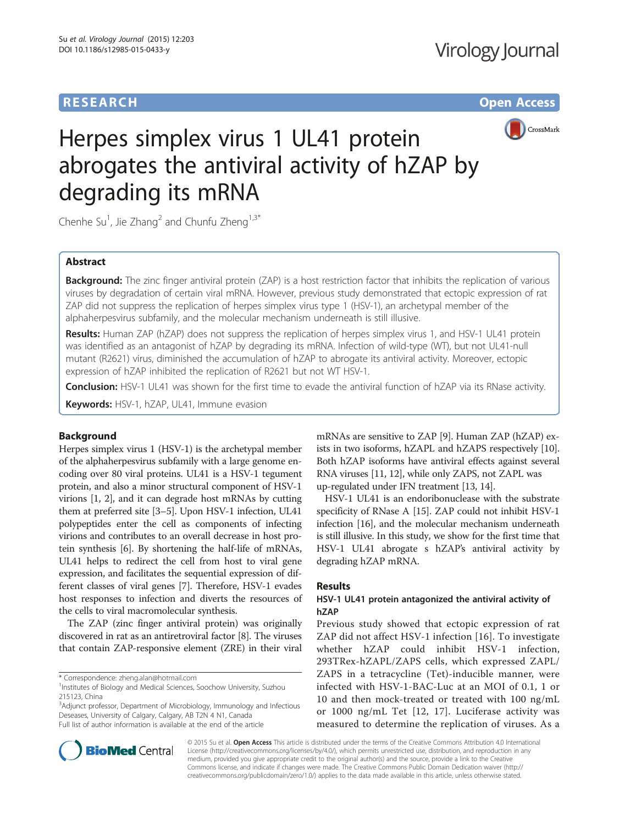# **RESEARCH RESEARCH** *CHECK CHECK CHECK CHECK CHECK CHECK CHECK CHECK CHECK CHECK CHECK CHECK CHECK CHECK CHECK CHECK CHECK CHECK CHECK CHECK CHECK CHECK CHECK CHECK CHECK CHECK CHECK CHECK CHECK CHECK CHECK CHECK CHECK*



# Herpes simplex virus 1 UL41 protein abrogates the antiviral activity of hZAP by degrading its mRNA

Chenhe Su<sup>1</sup>, Jie Zhang<sup>2</sup> and Chunfu Zheng<sup>1,3\*</sup>

# Abstract

Background: The zinc finger antiviral protein (ZAP) is a host restriction factor that inhibits the replication of various viruses by degradation of certain viral mRNA. However, previous study demonstrated that ectopic expression of rat ZAP did not suppress the replication of herpes simplex virus type 1 (HSV-1), an archetypal member of the alphaherpesvirus subfamily, and the molecular mechanism underneath is still illusive.

Results: Human ZAP (hZAP) does not suppress the replication of herpes simplex virus 1, and HSV-1 UL41 protein was identified as an antagonist of hZAP by degrading its mRNA. Infection of wild-type (WT), but not UL41-null mutant (R2621) virus, diminished the accumulation of hZAP to abrogate its antiviral activity. Moreover, ectopic expression of hZAP inhibited the replication of R2621 but not WT HSV-1.

Conclusion: HSV-1 UL41 was shown for the first time to evade the antiviral function of hZAP via its RNase activity.

Keywords: HSV-1, hZAP, UL41, Immune evasion

# Background

Herpes simplex virus 1 (HSV-1) is the archetypal member of the alphaherpesvirus subfamily with a large genome encoding over 80 viral proteins. UL41 is a HSV-1 tegument protein, and also a minor structural component of HSV-1 virions [\[1](#page-5-0), [2](#page-5-0)], and it can degrade host mRNAs by cutting them at preferred site [\[3](#page-5-0)–[5](#page-5-0)]. Upon HSV-1 infection, UL41 polypeptides enter the cell as components of infecting virions and contributes to an overall decrease in host protein synthesis [[6\]](#page-5-0). By shortening the half-life of mRNAs, UL41 helps to redirect the cell from host to viral gene expression, and facilitates the sequential expression of different classes of viral genes [\[7\]](#page-5-0). Therefore, HSV-1 evades host responses to infection and diverts the resources of the cells to viral macromolecular synthesis.

The ZAP (zinc finger antiviral protein) was originally discovered in rat as an antiretroviral factor [\[8\]](#page-5-0). The viruses that contain ZAP-responsive element (ZRE) in their viral

\* Correspondence: [zheng.alan@hotmail.com](mailto:zheng.alan@hotmail.com) <sup>1</sup>

<sup>3</sup>Adjunct professor, Department of Microbiology, Immunology and Infectious Deseases, University of Calgary, Calgary, AB T2N 4 N1, Canada Full list of author information is available at the end of the article

mRNAs are sensitive to ZAP [\[9](#page-5-0)]. Human ZAP (hZAP) exists in two isoforms, hZAPL and hZAPS respectively [[10](#page-5-0)]. Both hZAP isoforms have antiviral effects against several RNA viruses [\[11, 12](#page-5-0)], while only ZAPS, not ZAPL was up-regulated under IFN treatment [[13](#page-5-0), [14\]](#page-5-0).

HSV-1 UL41 is an endoribonuclease with the substrate specificity of RNase A [[15](#page-5-0)]. ZAP could not inhibit HSV-1 infection [[16](#page-5-0)], and the molecular mechanism underneath is still illusive. In this study, we show for the first time that HSV-1 UL41 abrogate s hZAP's antiviral activity by degrading hZAP mRNA.

### Results

# HSV-1 UL41 protein antagonized the antiviral activity of hZAP

Previous study showed that ectopic expression of rat ZAP did not affect HSV-1 infection [\[16\]](#page-5-0). To investigate whether hZAP could inhibit HSV-1 infection, 293TRex-hZAPL/ZAPS cells, which expressed ZAPL/ ZAPS in a tetracycline (Tet)-inducible manner, were infected with HSV-1-BAC-Luc at an MOI of 0.1, 1 or 10 and then mock-treated or treated with 100 ng/mL or 1000 ng/mL Tet [\[12](#page-5-0), [17](#page-5-0)]. Luciferase activity was measured to determine the replication of viruses. As a



© 2015 Su et al. Open Access This article is distributed under the terms of the Creative Commons Attribution 4.0 International License ([http://creativecommons.org/licenses/by/4.0/\)](http://creativecommons.org/licenses/by/4.0/), which permits unrestricted use, distribution, and reproduction in any medium, provided you give appropriate credit to the original author(s) and the source, provide a link to the Creative Commons license, and indicate if changes were made. The Creative Commons Public Domain Dedication waiver ([http://](http://creativecommons.org/publicdomain/zero/1.0/) [creativecommons.org/publicdomain/zero/1.0/\)](http://creativecommons.org/publicdomain/zero/1.0/) applies to the data made available in this article, unless otherwise stated.

<sup>&</sup>lt;sup>1</sup> Institutes of Biology and Medical Sciences, Soochow University, Suzhou 215123, China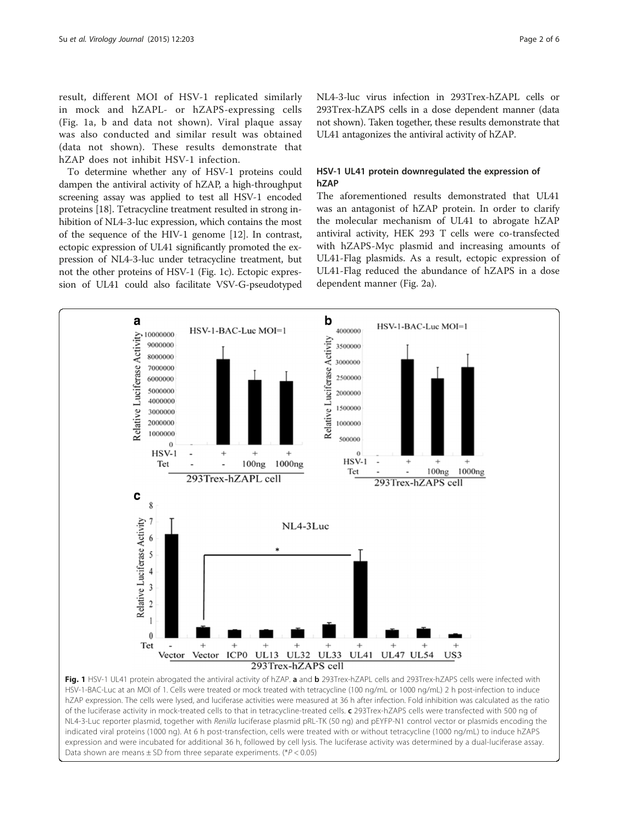result, different MOI of HSV-1 replicated similarly in mock and hZAPL- or hZAPS-expressing cells (Fig. 1a, b and data not shown). Viral plaque assay was also conducted and similar result was obtained (data not shown). These results demonstrate that hZAP does not inhibit HSV-1 infection.

To determine whether any of HSV-1 proteins could dampen the antiviral activity of hZAP, a high-throughput screening assay was applied to test all HSV-1 encoded proteins [\[18\]](#page-5-0). Tetracycline treatment resulted in strong inhibition of NL4-3-luc expression, which contains the most of the sequence of the HIV-1 genome [\[12\]](#page-5-0). In contrast, ectopic expression of UL41 significantly promoted the expression of NL4-3-luc under tetracycline treatment, but not the other proteins of HSV-1 (Fig. 1c). Ectopic expression of UL41 could also facilitate VSV-G-pseudotyped NL4-3-luc virus infection in 293Trex-hZAPL cells or 293Trex-hZAPS cells in a dose dependent manner (data not shown). Taken together, these results demonstrate that UL41 antagonizes the antiviral activity of hZAP.

# HSV-1 UL41 protein downregulated the expression of hZAP

The aforementioned results demonstrated that UL41 was an antagonist of hZAP protein. In order to clarify the molecular mechanism of UL41 to abrogate hZAP antiviral activity, HEK 293 T cells were co-transfected with hZAPS-Myc plasmid and increasing amounts of UL41-Flag plasmids. As a result, ectopic expression of UL41-Flag reduced the abundance of hZAPS in a dose dependent manner (Fig. [2a\)](#page-2-0).



NL4-3-Luc reporter plasmid, together with Renilla luciferase plasmid pRL-TK (50 ng) and pEYFP-N1 control vector or plasmids encoding the indicated viral proteins (1000 ng). At 6 h post-transfection, cells were treated with or without tetracycline (1000 ng/mL) to induce hZAPS expression and were incubated for additional 36 h, followed by cell lysis. The luciferase activity was determined by a dual-luciferase assay. Data shown are means  $\pm$  SD from three separate experiments. (\*P < 0.05)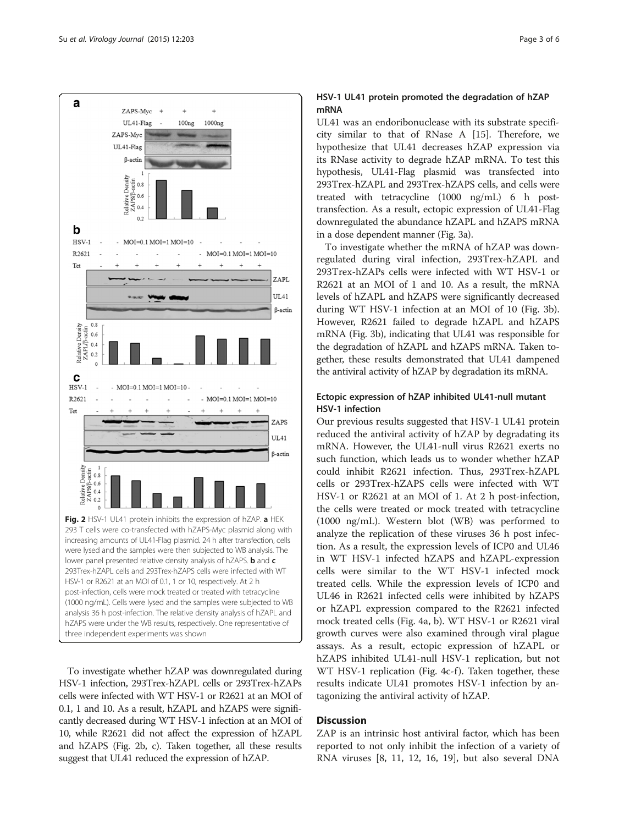<span id="page-2-0"></span>

To investigate whether hZAP was downregulated during HSV-1 infection, 293Trex-hZAPL cells or 293Trex-hZAPs cells were infected with WT HSV-1 or R2621 at an MOI of 0.1, 1 and 10. As a result, hZAPL and hZAPS were significantly decreased during WT HSV-1 infection at an MOI of 10, while R2621 did not affect the expression of hZAPL and hZAPS (Fig. 2b, c). Taken together, all these results suggest that UL41 reduced the expression of hZAP.

# HSV-1 UL41 protein promoted the degradation of hZAP mRNA

UL41 was an endoribonuclease with its substrate specificity similar to that of RNase A [[15\]](#page-5-0). Therefore, we hypothesize that UL41 decreases hZAP expression via its RNase activity to degrade hZAP mRNA. To test this hypothesis, UL41-Flag plasmid was transfected into 293Trex-hZAPL and 293Trex-hZAPS cells, and cells were treated with tetracycline (1000 ng/mL) 6 h posttransfection. As a result, ectopic expression of UL41-Flag downregulated the abundance hZAPL and hZAPS mRNA in a dose dependent manner (Fig. [3a](#page-3-0)).

To investigate whether the mRNA of hZAP was downregulated during viral infection, 293Trex-hZAPL and 293Trex-hZAPs cells were infected with WT HSV-1 or R2621 at an MOI of 1 and 10. As a result, the mRNA levels of hZAPL and hZAPS were significantly decreased during WT HSV-1 infection at an MOI of 10 (Fig. [3b](#page-3-0)). However, R2621 failed to degrade hZAPL and hZAPS mRNA (Fig. [3b](#page-3-0)), indicating that UL41 was responsible for the degradation of hZAPL and hZAPS mRNA. Taken together, these results demonstrated that UL41 dampened the antiviral activity of hZAP by degradation its mRNA.

# Ectopic expression of hZAP inhibited UL41-null mutant HSV-1 infection

Our previous results suggested that HSV-1 UL41 protein reduced the antiviral activity of hZAP by degradating its mRNA. However, the UL41-null virus R2621 exerts no such function, which leads us to wonder whether hZAP could inhibit R2621 infection. Thus, 293Trex-hZAPL cells or 293Trex-hZAPS cells were infected with WT HSV-1 or R2621 at an MOI of 1. At 2 h post-infection, the cells were treated or mock treated with tetracycline (1000 ng/mL). Western blot (WB) was performed to analyze the replication of these viruses 36 h post infection. As a result, the expression levels of ICP0 and UL46 in WT HSV-1 infected hZAPS and hZAPL-expression cells were similar to the WT HSV-1 infected mock treated cells. While the expression levels of ICP0 and UL46 in R2621 infected cells were inhibited by hZAPS or hZAPL expression compared to the R2621 infected mock treated cells (Fig. [4a, b\)](#page-4-0). WT HSV-1 or R2621 viral growth curves were also examined through viral plague assays. As a result, ectopic expression of hZAPL or hZAPS inhibited UL41-null HSV-1 replication, but not WT HSV-1 replication (Fig. [4c-f](#page-4-0)). Taken together, these results indicate UL41 promotes HSV-1 infection by antagonizing the antiviral activity of hZAP.

# **Discussion**

ZAP is an intrinsic host antiviral factor, which has been reported to not only inhibit the infection of a variety of RNA viruses [\[8](#page-5-0), [11, 12](#page-5-0), [16, 19](#page-5-0)], but also several DNA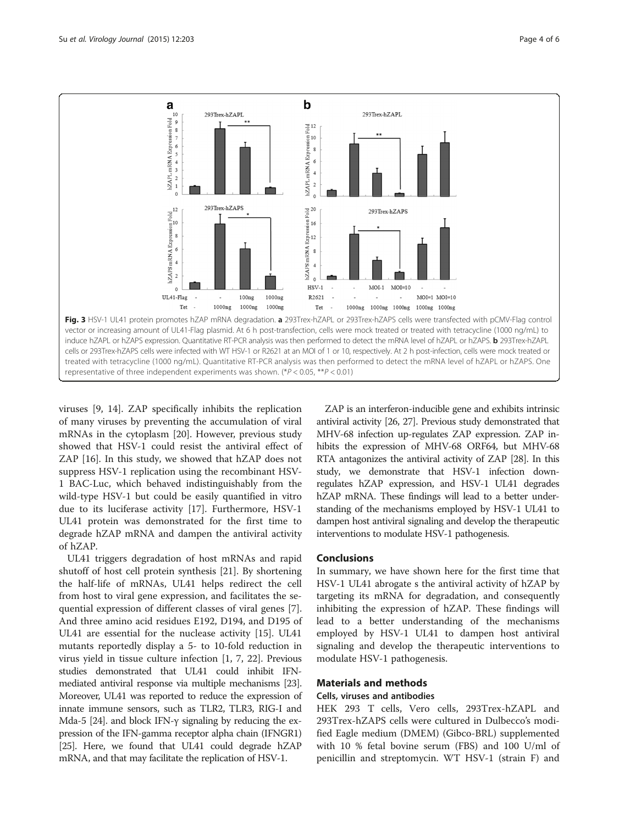<span id="page-3-0"></span>

viruses [\[9](#page-5-0), [14](#page-5-0)]. ZAP specifically inhibits the replication of many viruses by preventing the accumulation of viral mRNAs in the cytoplasm [[20](#page-5-0)]. However, previous study showed that HSV-1 could resist the antiviral effect of ZAP [\[16\]](#page-5-0). In this study, we showed that hZAP does not suppress HSV-1 replication using the recombinant HSV-1 BAC-Luc, which behaved indistinguishably from the wild-type HSV-1 but could be easily quantified in vitro due to its luciferase activity [\[17\]](#page-5-0). Furthermore, HSV-1 UL41 protein was demonstrated for the first time to degrade hZAP mRNA and dampen the antiviral activity of hZAP.

UL41 triggers degradation of host mRNAs and rapid shutoff of host cell protein synthesis [[21\]](#page-5-0). By shortening the half-life of mRNAs, UL41 helps redirect the cell from host to viral gene expression, and facilitates the sequential expression of different classes of viral genes [\[7](#page-5-0)]. And three amino acid residues E192, D194, and D195 of UL41 are essential for the nuclease activity [[15](#page-5-0)]. UL41 mutants reportedly display a 5- to 10-fold reduction in virus yield in tissue culture infection [[1, 7](#page-5-0), [22\]](#page-5-0). Previous studies demonstrated that UL41 could inhibit IFNmediated antiviral response via multiple mechanisms [\[23](#page-5-0)]. Moreover, UL41 was reported to reduce the expression of innate immune sensors, such as TLR2, TLR3, RIG-I and Mda-5 [\[24\]](#page-5-0). and block IFN- $\gamma$  signaling by reducing the expression of the IFN-gamma receptor alpha chain (IFNGR1) [[25](#page-5-0)]. Here, we found that UL41 could degrade hZAP mRNA, and that may facilitate the replication of HSV-1.

ZAP is an interferon-inducible gene and exhibits intrinsic antiviral activity [\[26, 27](#page-5-0)]. Previous study demonstrated that MHV-68 infection up-regulates ZAP expression. ZAP inhibits the expression of MHV-68 ORF64, but MHV-68 RTA antagonizes the antiviral activity of ZAP [\[28\]](#page-5-0). In this study, we demonstrate that HSV-1 infection downregulates hZAP expression, and HSV-1 UL41 degrades hZAP mRNA. These findings will lead to a better understanding of the mechanisms employed by HSV-1 UL41 to dampen host antiviral signaling and develop the therapeutic interventions to modulate HSV-1 pathogenesis.

#### **Conclusions**

In summary, we have shown here for the first time that HSV-1 UL41 abrogate s the antiviral activity of hZAP by targeting its mRNA for degradation, and consequently inhibiting the expression of hZAP. These findings will lead to a better understanding of the mechanisms employed by HSV-1 UL41 to dampen host antiviral signaling and develop the therapeutic interventions to modulate HSV-1 pathogenesis.

#### Materials and methods

#### Cells, viruses and antibodies

HEK 293 T cells, Vero cells, 293Trex-hZAPL and 293Trex-hZAPS cells were cultured in Dulbecco's modified Eagle medium (DMEM) (Gibco-BRL) supplemented with 10 % fetal bovine serum (FBS) and 100 U/ml of penicillin and streptomycin. WT HSV-1 (strain F) and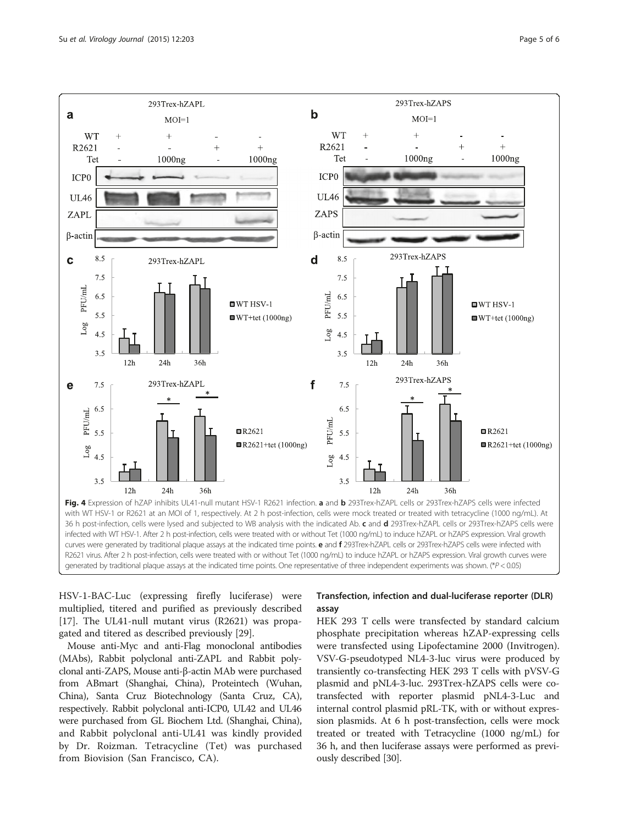<span id="page-4-0"></span>Su et al. Virology Journal (2015) 12:203 Page 5 of 6



R2621 virus. After 2 h post-infection, cells were treated with or without Tet (1000 ng/mL) to induce hZAPL or hZAPS expression. Viral growth curves were generated by traditional plaque assays at the indicated time points. One representative of three independent experiments was shown. (\*P < 0.05)

HSV-1-BAC-Luc (expressing firefly luciferase) were multiplied, titered and purified as previously described [[17\]](#page-5-0). The UL41-null mutant virus (R2621) was propagated and titered as described previously [[29](#page-5-0)].

Mouse anti-Myc and anti-Flag monoclonal antibodies (MAbs), Rabbit polyclonal anti-ZAPL and Rabbit polyclonal anti-ZAPS, Mouse anti-β-actin MAb were purchased from ABmart (Shanghai, China), Proteintech (Wuhan, China), Santa Cruz Biotechnology (Santa Cruz, CA), respectively. Rabbit polyclonal anti-ICP0, UL42 and UL46 were purchased from GL Biochem Ltd. (Shanghai, China), and Rabbit polyclonal anti-UL41 was kindly provided by Dr. Roizman. Tetracycline (Tet) was purchased from Biovision (San Francisco, CA).

# Transfection, infection and dual-luciferase reporter (DLR) assay

HEK 293 T cells were transfected by standard calcium phosphate precipitation whereas hZAP-expressing cells were transfected using Lipofectamine 2000 (Invitrogen). VSV-G-pseudotyped NL4-3-luc virus were produced by transiently co-transfecting HEK 293 T cells with pVSV-G plasmid and pNL4-3-luc. 293Trex-hZAPS cells were cotransfected with reporter plasmid pNL4-3-Luc and internal control plasmid pRL-TK, with or without expression plasmids. At 6 h post-transfection, cells were mock treated or treated with Tetracycline (1000 ng/mL) for 36 h, and then luciferase assays were performed as previously described [[30](#page-5-0)].